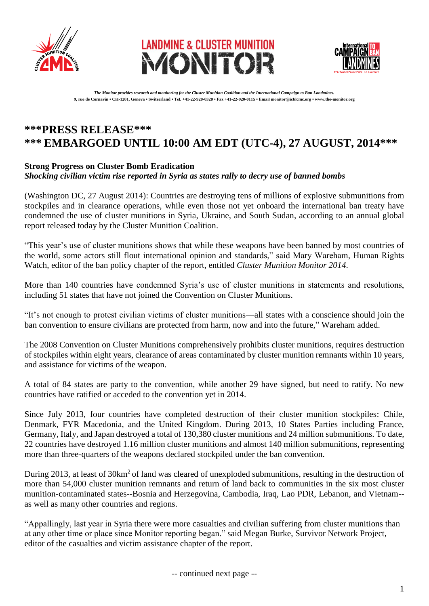





*The Monitor provides research and monitoring for the Cluster Munition Coalition and the International Campaign to Ban Landmines.* **9, rue de Cornavin • CH-1201, Geneva • Switzerland • Tel. +41-22-920-0320 • Fax +41-22-920-0115 • Email monitor@icblcmc.org • www.the-monitor.org**

# **\*\*\*PRESS RELEASE\*\*\* \*\*\* EMBARGOED UNTIL 10:00 AM EDT (UTC-4), 27 AUGUST, 2014\*\*\***

### **Strong Progress on Cluster Bomb Eradication**

#### *Shocking civilian victim rise reported in Syria as states rally to decry use of banned bombs*

(Washington DC, 27 August 2014): Countries are destroying tens of millions of explosive submunitions from stockpiles and in clearance operations, while even those not yet onboard the international ban treaty have condemned the use of cluster munitions in Syria, Ukraine, and South Sudan, according to an annual global report released today by the Cluster Munition Coalition.

"This year's use of cluster munitions shows that while these weapons have been banned by most countries of the world, some actors still flout international opinion and standards," said Mary Wareham, Human Rights Watch, editor of the ban policy chapter of the report, entitled *Cluster Munition Monitor 2014*.

More than 140 countries have condemned Syria's use of cluster munitions in statements and resolutions, including 51 states that have not joined the Convention on Cluster Munitions.

"It's not enough to protest civilian victims of cluster munitions—all states with a conscience should join the ban convention to ensure civilians are protected from harm, now and into the future," Wareham added.

The 2008 Convention on Cluster Munitions comprehensively prohibits cluster munitions, requires destruction of stockpiles within eight years, clearance of areas contaminated by cluster munition remnants within 10 years, and assistance for victims of the weapon.

A total of 84 states are party to the convention, while another 29 have signed, but need to ratify. No new countries have ratified or acceded to the convention yet in 2014.

Since July 2013, four countries have completed destruction of their cluster munition stockpiles: Chile, Denmark, FYR Macedonia, and the United Kingdom. During 2013, 10 States Parties including France, Germany, Italy, and Japan destroyed a total of 130,380 cluster munitions and 24 million submunitions. To date, 22 countries have destroyed 1.16 million cluster munitions and almost 140 million submunitions, representing more than three-quarters of the weapons declared stockpiled under the ban convention.

During 2013, at least of 30km<sup>2</sup> of land was cleared of unexploded submunitions, resulting in the destruction of more than 54,000 cluster munition remnants and return of land back to communities in the six most cluster munition-contaminated states--Bosnia and Herzegovina, Cambodia, Iraq, Lao PDR, Lebanon, and Vietnam- as well as many other countries and regions.

"Appallingly, last year in Syria there were more casualties and civilian suffering from cluster munitions than at any other time or place since Monitor reporting began." said Megan Burke, Survivor Network Project, editor of the casualties and victim assistance chapter of the report.

-- continued next page --